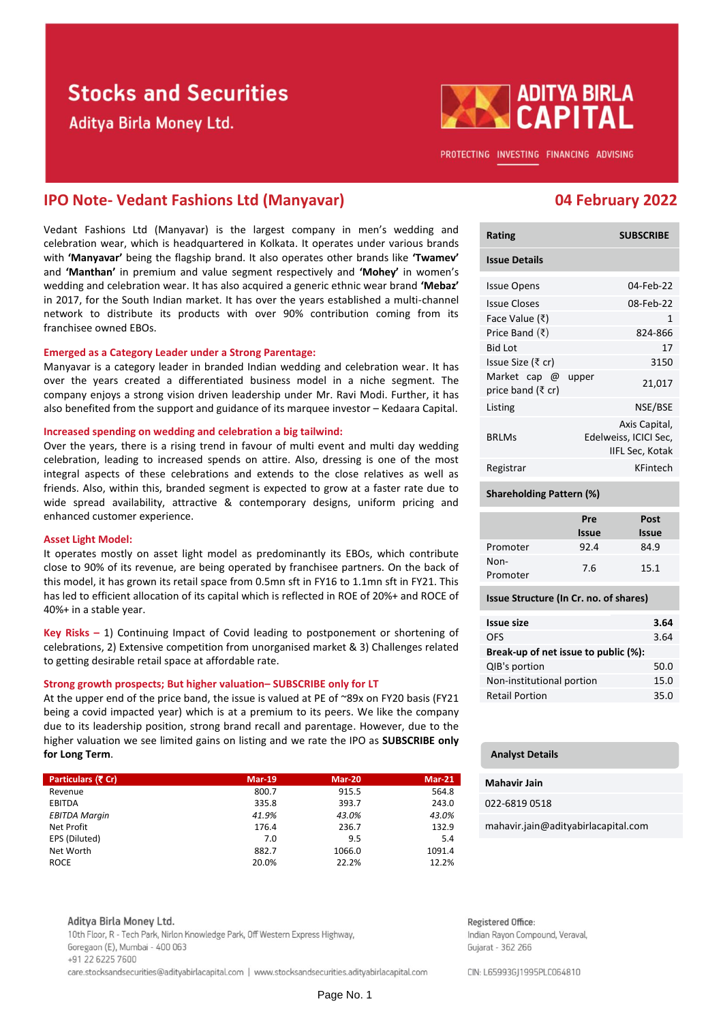# **Stocks and Securities**

Aditya Birla Money Ltd.



PROTECTING INVESTING FINANCING ADVISING

## **IPO Note- Vedant Fashions Ltd (Manyavar) 04 February 2022**

Vedant Fashions Ltd (Manyavar) is the largest company in men's wedding and celebration wear, which is headquartered in Kolkata. It operates under various brands with **'Manyavar'** being the flagship brand. It also operates other brands like **'Twamev'** and **'Manthan'** in premium and value segment respectively and **'Mohey'** in women's wedding and celebration wear. It has also acquired a generic ethnic wear brand **'Mebaz'** in 2017, for the South Indian market. It has over the years established a multi-channel network to distribute its products with over 90% contribution coming from its franchisee owned EBOs.

### **Emerged as a Category Leader under a Strong Parentage:**

Manyavar is a category leader in branded Indian wedding and celebration wear. It has over the years created a differentiated business model in a niche segment. The company enjoys a strong vision driven leadership under Mr. Ravi Modi. Further, it has also benefited from the support and guidance of its marquee investor – Kedaara Capital.

### **Increased spending on wedding and celebration a big tailwind:**

Over the years, there is a rising trend in favour of multi event and multi day wedding celebration, leading to increased spends on attire. Also, dressing is one of the most integral aspects of these celebrations and extends to the close relatives as well as friends. Also, within this, branded segment is expected to grow at a faster rate due to wide spread availability, attractive & contemporary designs, uniform pricing and enhanced customer experience.

### **Asset Light Model:**

It operates mostly on asset light model as predominantly its EBOs, which contribute close to 90% of its revenue, are being operated by franchisee partners. On the back of this model, it has grown its retail space from 0.5mn sft in FY16 to 1.1mn sft in FY21. This has led to efficient allocation of its capital which is reflected in ROE of 20%+ and ROCE of 40%+ in a stable year.

**Key Risks –** 1) Continuing Impact of Covid leading to postponement or shortening of celebrations, 2) Extensive competition from unorganised market & 3) Challenges related to getting desirable retail space at affordable rate.

### **Strong growth prospects; But higher valuation– SUBSCRIBE only for LT**

At the upper end of the price band, the issue is valued at PE of ~89x on FY20 basis (FY21 being a covid impacted year) which is at a premium to its peers. We like the company due to its leadership position, strong brand recall and parentage. However, due to the higher valuation we see limited gains on listing and we rate the IPO as **SUBSCRIBE only for Long Term**.

| Particulars (₹ Cr)   | $Mar-19$ | <b>Mar-20</b> | $Mar-21$ |
|----------------------|----------|---------------|----------|
| Revenue              | 800.7    | 915.5         | 564.8    |
| <b>EBITDA</b>        | 335.8    | 393.7         | 243.0    |
| <b>EBITDA Margin</b> | 41.9%    | 43.0%         | 43.0%    |
| Net Profit           | 176.4    | 236.7         | 132.9    |
| EPS (Diluted)        | 7.0      | 9.5           | 5.4      |
| Net Worth            | 882.7    | 1066.0        | 1091.4   |
| <b>ROCE</b>          | 20.0%    | 22.2%         | 12.2%    |

#### Aditya Birla Money Ltd.

10th Floor, R - Tech Park, Nirlon Knowledge Park, Off Western Express Highway, Goregaon (E), Mumbai - 400 063 +91 22 6225 7600 care.stocksandsecurities@adityabirlacapital.com | www.stocksandsecurities.adityabirlacapital.com

| <b>SUBSCRIBE</b>                                          |  |
|-----------------------------------------------------------|--|
|                                                           |  |
| 04-Feb-22                                                 |  |
| 08-Feb-22                                                 |  |
| 1                                                         |  |
| 824-866                                                   |  |
| 17                                                        |  |
| 3150                                                      |  |
| upper<br>21,017                                           |  |
| NSE/BSE                                                   |  |
| Axis Capital,<br>Edelweiss, ICICI Sec,<br>IIFL Sec, Kotak |  |
| KFintech                                                  |  |
|                                                           |  |

### **Shareholding Pattern (%)**

|                  | Pre<br><b>Issue</b> | Post<br><b>Issue</b> |
|------------------|---------------------|----------------------|
| Promoter         | 92.4                | 84.9                 |
| Non-<br>Promoter | 7.6                 | 15.1                 |

#### **Issue Structure (In Cr. no. of shares)**

| <b>Issue size</b>                    | 3.64 |  |  |  |
|--------------------------------------|------|--|--|--|
| <b>OFS</b>                           | 3.64 |  |  |  |
| Break-up of net issue to public (%): |      |  |  |  |
| QIB's portion                        | 50.0 |  |  |  |
| Non-institutional portion            | 15.0 |  |  |  |
| <b>Retail Portion</b>                | 35.0 |  |  |  |

#### **Analyst Details**

#### **Mahavir Jain**

022-6819 0518

mahavir.jain@adityabirlacapital.com

Registered Office: Indian Rayon Compound, Veraval, Gujarat - 362 266

CIN: L65993GJ1995PLC064810